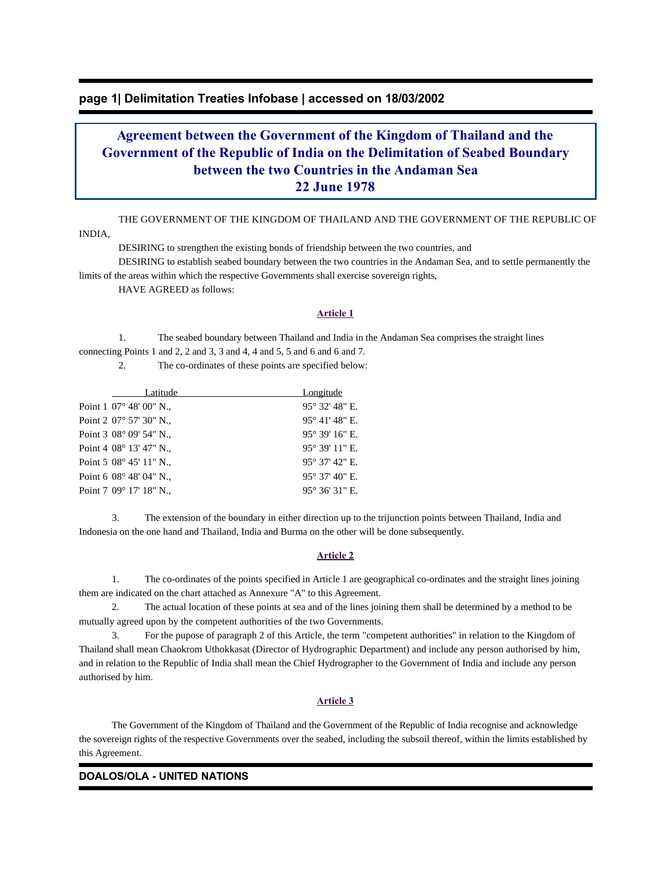## **page 1| Delimitation Treaties Infobase | accessed on 18/03/2002**

# **Agreement between the Government of the Kingdom of Thailand and the Government of the Republic of India on the Delimitation of Seabed Boundary between the two Countries in the Andaman Sea 22 June 1978**

 THE GOVERNMENT OF THE KINGDOM OF THAILAND AND THE GOVERNMENT OF THE REPUBLIC OF INDIA,

DESIRING to strengthen the existing bonds of friendship between the two countries, and

 DESIRING to establish seabed boundary between the two countries in the Andaman Sea, and to settle permanently the limits of the areas within which the respective Governments shall exercise sovereign rights,

HAVE AGREED as follows:

#### **Article 1**

 1. The seabed boundary between Thailand and India in the Andaman Sea comprises the straight lines connecting Points 1 and 2, 2 and 3, 3 and 4, 4 and 5, 5 and 6 and 6 and 7.

2. The co-ordinates of these points are specified below:

| Latitude                           | Longitude               |
|------------------------------------|-------------------------|
| Point 1 07° 48' 00" N.,            | 95° 32' 48" E.          |
| Point 2 07° 57′ 30″ N.,            | 95° 41' 48" E.          |
| Point $3\,08^{\circ}\,09'$ 54" N., | 95° 39' 16" E.          |
| Point 4 08° 13′ 47″ N.,            | 95° 39′ 11″ E.          |
| Point 5 08° 45′ 11″ N.,            | $95^{\circ}$ 37' 42" E. |
| Point 6 08° 48′ 04″ N.,            | 95° 37' 40" E.          |
| Point 7 09° 17' 18" N.,            | $95^{\circ}$ 36' 31" E. |

 3. The extension of the boundary in either direction up to the trijunction points between Thailand, India and Indonesia on the one hand and Thailand, India and Burma on the other will be done subsequently.

#### **Article 2**

 1. The co-ordinates of the points specified in Article 1 are geographical co-ordinates and the straight lines joining them are indicated on the chart attached as Annexure "A" to this Agreement.

 2. The actual location of these points at sea and of the lines joining them shall be determined by a method to be mutually agreed upon by the competent authorities of the two Governments.

 3. For the pupose of paragraph 2 of this Article, the term "competent authorities" in relation to the Kingdom of Thailand shall mean Chaokrom Uthokkasat (Director of Hydrographic Department) and include any person authorised by him, and in relation to the Republic of India shall mean the Chief Hydrographer to the Government of India and include any person authorised by him.

#### **Article 3**

 The Government of the Kingdom of Thailand and the Government of the Republic of India recognise and acknowledge the sovereign rights of the respective Governments over the seabed, including the subsoil thereof, within the limits established by this Agreement.

#### **DOALOS/OLA - UNITED NATIONS**